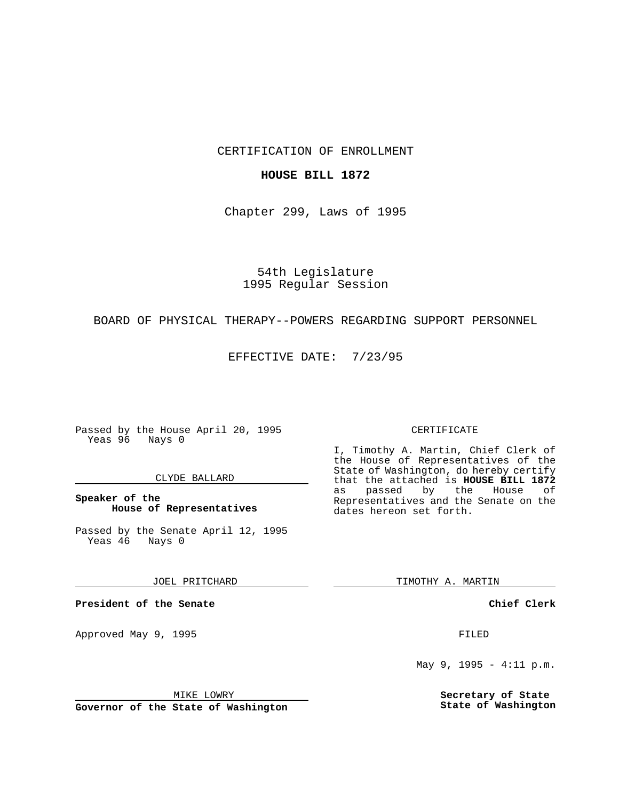CERTIFICATION OF ENROLLMENT

## **HOUSE BILL 1872**

Chapter 299, Laws of 1995

54th Legislature 1995 Regular Session

## BOARD OF PHYSICAL THERAPY--POWERS REGARDING SUPPORT PERSONNEL

EFFECTIVE DATE: 7/23/95

Passed by the House April 20, 1995 Yeas 96 Nays 0

### CLYDE BALLARD

**Speaker of the House of Representatives**

Passed by the Senate April 12, 1995<br>Yeas 46 Nays 0 Yeas 46

JOEL PRITCHARD

**President of the Senate**

Approved May 9, 1995 **FILED** 

MIKE LOWRY

**Governor of the State of Washington**

#### CERTIFICATE

I, Timothy A. Martin, Chief Clerk of the House of Representatives of the State of Washington, do hereby certify that the attached is **HOUSE BILL 1872** as passed by the House of Representatives and the Senate on the dates hereon set forth.

TIMOTHY A. MARTIN

**Chief Clerk**

May 9, 1995 - 4:11 p.m.

**Secretary of State State of Washington**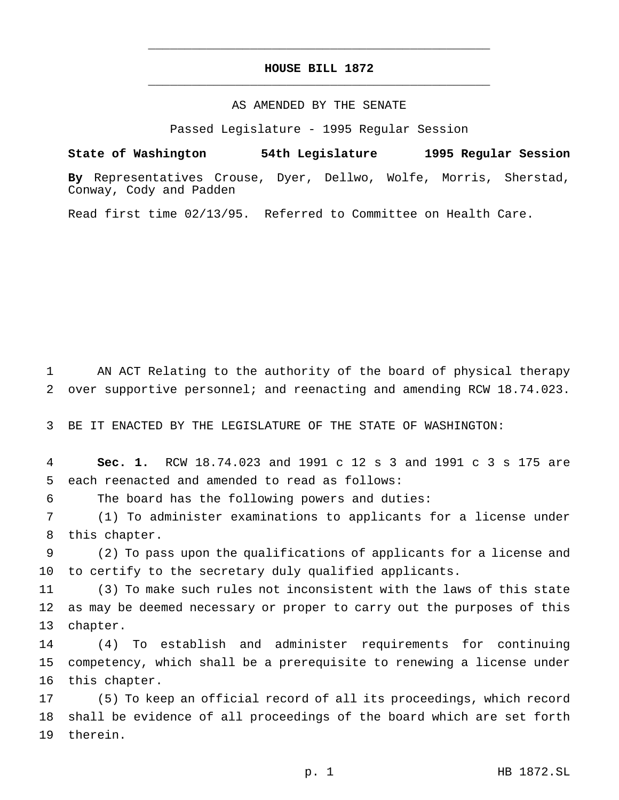# **HOUSE BILL 1872** \_\_\_\_\_\_\_\_\_\_\_\_\_\_\_\_\_\_\_\_\_\_\_\_\_\_\_\_\_\_\_\_\_\_\_\_\_\_\_\_\_\_\_\_\_\_\_

\_\_\_\_\_\_\_\_\_\_\_\_\_\_\_\_\_\_\_\_\_\_\_\_\_\_\_\_\_\_\_\_\_\_\_\_\_\_\_\_\_\_\_\_\_\_\_

## AS AMENDED BY THE SENATE

Passed Legislature - 1995 Regular Session

**State of Washington 54th Legislature 1995 Regular Session**

**By** Representatives Crouse, Dyer, Dellwo, Wolfe, Morris, Sherstad, Conway, Cody and Padden

Read first time 02/13/95. Referred to Committee on Health Care.

 AN ACT Relating to the authority of the board of physical therapy over supportive personnel; and reenacting and amending RCW 18.74.023.

BE IT ENACTED BY THE LEGISLATURE OF THE STATE OF WASHINGTON:

 **Sec. 1.** RCW 18.74.023 and 1991 c 12 s 3 and 1991 c 3 s 175 are each reenacted and amended to read as follows:

The board has the following powers and duties:

 (1) To administer examinations to applicants for a license under this chapter.

 (2) To pass upon the qualifications of applicants for a license and to certify to the secretary duly qualified applicants.

 (3) To make such rules not inconsistent with the laws of this state as may be deemed necessary or proper to carry out the purposes of this chapter.

 (4) To establish and administer requirements for continuing competency, which shall be a prerequisite to renewing a license under this chapter.

 (5) To keep an official record of all its proceedings, which record shall be evidence of all proceedings of the board which are set forth therein.